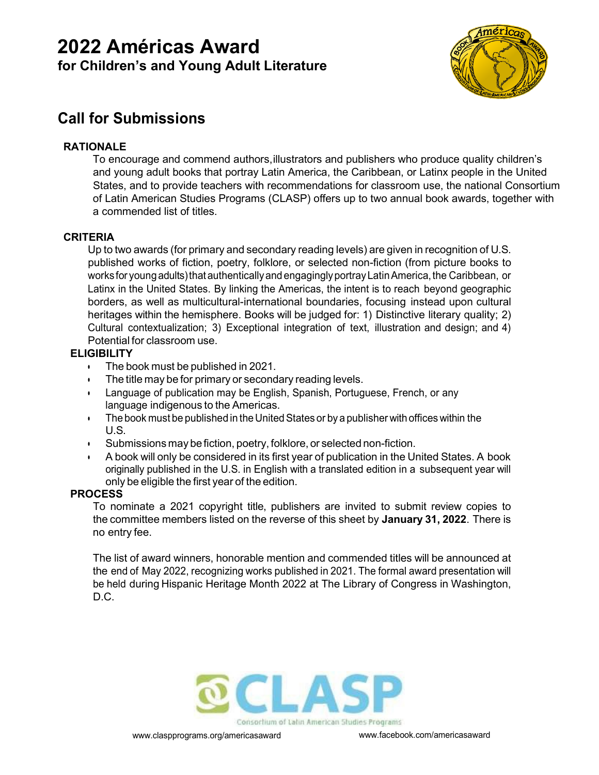# **2022 Américas Award for Children's and Young Adult Literature**



# **Call for Submissions**

## **RATIONALE**

To encourage and commend authors,illustrators and publishers who produce quality children's and young adult books that portray Latin America, the Caribbean, or Latinx people in the United States, and to provide teachers with recommendations for classroom use, the national Consortium of Latin American Studies Programs (CLASP) offers up to two annual book awards, together with a commended list of titles.

## **CRITERIA**

Up to two awards (for primary and secondary reading levels) are given in recognition of U.S. published works of fiction, poetry, folklore, or selected non-fiction (from picture books to works for young adults) that authentically and engagingly portray Latin America, the Caribbean, or Latinx in the United States. By linking the Americas, the intent is to reach beyond geographic borders, as well as multicultural-international boundaries, focusing instead upon cultural heritages within the hemisphere. Books will be judged for: 1) Distinctive literary quality; 2) Cultural contextualization; 3) Exceptional integration of text, illustration and design; and 4) Potential for classroom use.

#### **ELIGIBILITY**

- The book must be published in 2021.
- The title may be for primary or secondary reading levels.
- Language of publication may be English, Spanish, Portuguese, French, or any language indigenous to the Americas.
- $\cdot$  The book must be published in the United States or by a publisher with offices within the U.S.
- Submissions may befiction, poetry, folklore, or selected non-fiction.
- A book will only be considered in its first year of publication in the United States. A book originally published in the U.S. in English with a translated edition in a subsequent year will only be eligible the first year of the edition.

## **PROCESS**

To nominate a 2021 copyright title, publishers are invited to submit review copies to the committee members listed on the reverse of this sheet by **January 31, 2022**. There is no entry fee.

The list of award winners, honorable mention and commended titles will be announced at the end of May 2022, recognizing works published in 2021. The formal award presentation will be held during Hispanic Heritage Month 2022 at The Library of Congress in Washington, D.C.



Consortium of Latin American Studies Programs